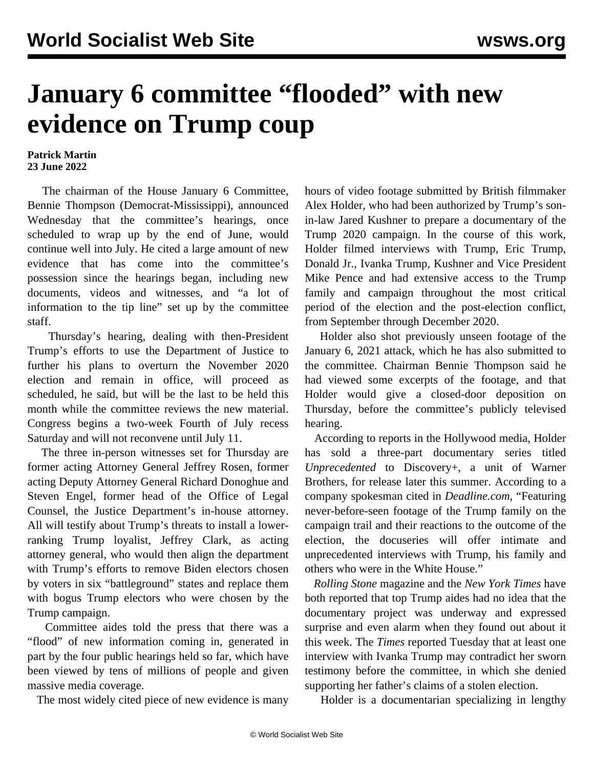## **January 6 committee "flooded" with new evidence on Trump coup**

## **Patrick Martin 23 June 2022**

 The chairman of the House January 6 Committee, Bennie Thompson (Democrat-Mississippi), announced Wednesday that the committee's hearings, once scheduled to wrap up by the end of June, would continue well into July. He cited a large amount of new evidence that has come into the committee's possession since the hearings began, including new documents, videos and witnesses, and "a lot of information to the tip line" set up by the committee staff.

 Thursday's hearing, dealing with then-President Trump's efforts to use the Department of Justice to further his plans to overturn the November 2020 election and remain in office, will proceed as scheduled, he said, but will be the last to be held this month while the committee reviews the new material. Congress begins a two-week Fourth of July recess Saturday and will not reconvene until July 11.

 The three in-person witnesses set for Thursday are former acting Attorney General Jeffrey Rosen, former acting Deputy Attorney General Richard Donoghue and Steven Engel, former head of the Office of Legal Counsel, the Justice Department's in-house attorney. All will testify about Trump's threats to install a lowerranking Trump loyalist, Jeffrey Clark, as acting attorney general, who would then align the department with Trump's efforts to remove Biden electors chosen by voters in six "battleground" states and replace them with bogus Trump electors who were chosen by the Trump campaign.

 Committee aides told the press that there was a "flood" of new information coming in, generated in part by the four public hearings held so far, which have been viewed by tens of millions of people and given massive media coverage.

The most widely cited piece of new evidence is many

hours of video footage submitted by British filmmaker Alex Holder, who had been authorized by Trump's sonin-law Jared Kushner to prepare a documentary of the Trump 2020 campaign. In the course of this work, Holder filmed interviews with Trump, Eric Trump, Donald Jr., Ivanka Trump, Kushner and Vice President Mike Pence and had extensive access to the Trump family and campaign throughout the most critical period of the election and the post-election conflict, from September through December 2020.

 Holder also shot previously unseen footage of the January 6, 2021 attack, which he has also submitted to the committee. Chairman Bennie Thompson said he had viewed some excerpts of the footage, and that Holder would give a closed-door deposition on Thursday, before the committee's publicly televised hearing.

 According to reports in the Hollywood media, Holder has sold a three-part documentary series titled *Unprecedented* to Discovery+, a unit of Warner Brothers, for release later this summer. According to a company spokesman cited in *Deadline.com*, "Featuring never-before-seen footage of the Trump family on the campaign trail and their reactions to the outcome of the election, the docuseries will offer intimate and unprecedented interviews with Trump, his family and others who were in the White House."

 *Rolling Stone* magazine and the *New York Times* have both reported that top Trump aides had no idea that the documentary project was underway and expressed surprise and even alarm when they found out about it this week. The *Times* reported Tuesday that at least one interview with Ivanka Trump may contradict her sworn testimony before the committee, in which she denied supporting her father's claims of a stolen election.

Holder is a documentarian specializing in lengthy